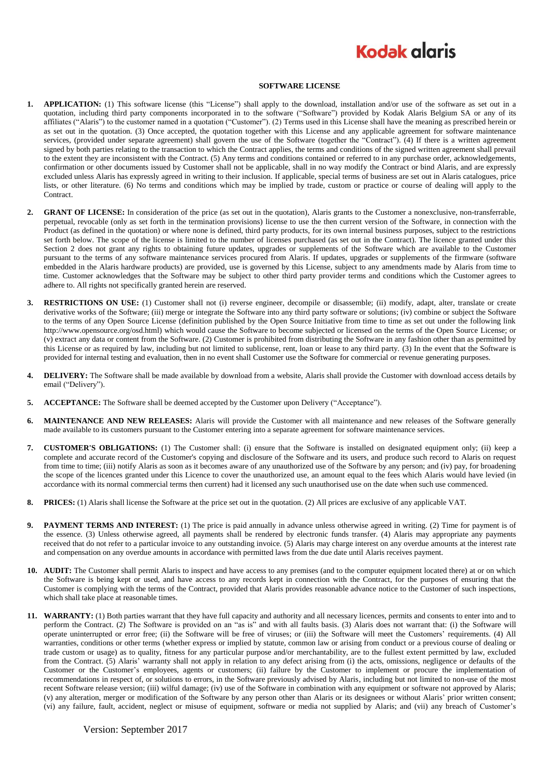## **Kodak glgris**

## **SOFTWARE LICENSE**

- **1. APPLICATION:** (1) This software license (this "License") shall apply to the download, installation and/or use of the software as set out in a quotation, including third party components incorporated in to the software ("Software") provided by Kodak Alaris Belgium SA or any of its affiliates ("Alaris") to the customer named in a quotation ("Customer"). (2) Terms used in this License shall have the meaning as prescribed herein or as set out in the quotation. (3) Once accepted, the quotation together with this License and any applicable agreement for software maintenance services, (provided under separate agreement) shall govern the use of the Software (together the "Contract"). (4) If there is a written agreement signed by both parties relating to the transaction to which the Contract applies, the terms and conditions of the signed written agreement shall prevail to the extent they are inconsistent with the Contract. (5) Any terms and conditions contained or referred to in any purchase order, acknowledgements, confirmation or other documents issued by Customer shall not be applicable, shall in no way modify the Contract or bind Alaris, and are expressly excluded unless Alaris has expressly agreed in writing to their inclusion. If applicable, special terms of business are set out in Alaris catalogues, price lists, or other literature. (6) No terms and conditions which may be implied by trade, custom or practice or course of dealing will apply to the Contract.
- **2. GRANT OF LICENSE:** In consideration of the price (as set out in the quotation), Alaris grants to the Customer a nonexclusive, non-transferrable, perpetual, revocable (only as set forth in the termination provisions) license to use the then current version of the Software, in connection with the Product (as defined in the quotation) or where none is defined, third party products, for its own internal business purposes, subject to the restrictions set forth below. The scope of the license is limited to the number of licenses purchased (as set out in the Contract). The licence granted under this Section 2 does not grant any rights to obtaining future updates, upgrades or supplements of the Software which are available to the Customer pursuant to the terms of any software maintenance services procured from Alaris. If updates, upgrades or supplements of the firmware (software embedded in the Alaris hardware products) are provided, use is governed by this License, subject to any amendments made by Alaris from time to time. Customer acknowledges that the Software may be subject to other third party provider terms and conditions which the Customer agrees to adhere to. All rights not specifically granted herein are reserved.
- **3. RESTRICTIONS ON USE:** (1) Customer shall not (i) reverse engineer, decompile or disassemble; (ii) modify, adapt, alter, translate or create derivative works of the Software; (iii) merge or integrate the Software into any third party software or solutions; (iv) combine or subject the Software to the terms of any Open Source License (definition published by the Open Source Initiative from time to time as set out under the following link http://www.opensource.org/osd.html) which would cause the Software to become subjected or licensed on the terms of the Open Source License; or (v) extract any data or content from the Software. (2) Customer is prohibited from distributing the Software in any fashion other than as permitted by this License or as required by law, including but not limited to sublicense, rent, loan or lease to any third party. (3) In the event that the Software is provided for internal testing and evaluation, then in no event shall Customer use the Software for commercial or revenue generating purposes.
- **4. DELIVERY:** The Software shall be made available by download from a website, Alaris shall provide the Customer with download access details by email ("Delivery").
- **5. ACCEPTANCE:** The Software shall be deemed accepted by the Customer upon Delivery ("Acceptance").
- **6. MAINTENANCE AND NEW RELEASES:** Alaris will provide the Customer with all maintenance and new releases of the Software generally made available to its customers pursuant to the Customer entering into a separate agreement for software maintenance services.
- **7. CUSTOMER'S OBLIGATIONS:** (1) The Customer shall: (i) ensure that the Software is installed on designated equipment only; (ii) keep a complete and accurate record of the Customer's copying and disclosure of the Software and its users, and produce such record to Alaris on request from time to time; (iii) notify Alaris as soon as it becomes aware of any unauthorized use of the Software by any person; and (iv) pay, for broadening the scope of the licences granted under this Licence to cover the unauthorized use, an amount equal to the fees which Alaris would have levied (in accordance with its normal commercial terms then current) had it licensed any such unauthorised use on the date when such use commenced.
- **8. PRICES:** (1) Alaris shall license the Software at the price set out in the quotation. (2) All prices are exclusive of any applicable VAT.
- **9. PAYMENT TERMS AND INTEREST:** (1) The price is paid annually in advance unless otherwise agreed in writing. (2) Time for payment is of the essence. (3) Unless otherwise agreed, all payments shall be rendered by electronic funds transfer. (4) Alaris may appropriate any payments received that do not refer to a particular invoice to any outstanding invoice. (5) Alaris may charge interest on any overdue amounts at the interest rate and compensation on any overdue amounts in accordance with permitted laws from the due date until Alaris receives payment.
- **10. AUDIT:** The Customer shall permit Alaris to inspect and have access to any premises (and to the computer equipment located there) at or on which the Software is being kept or used, and have access to any records kept in connection with the Contract, for the purposes of ensuring that the Customer is complying with the terms of the Contract, provided that Alaris provides reasonable advance notice to the Customer of such inspections, which shall take place at reasonable times.
- **11. WARRANTY:** (1) Both parties warrant that they have full capacity and authority and all necessary licences, permits and consents to enter into and to perform the Contract. (2) The Software is provided on an "as is" and with all faults basis. (3) Alaris does not warrant that: (i) the Software will operate uninterrupted or error free; (ii) the Software will be free of viruses; or (iii) the Software will meet the Customers' requirements. (4) All warranties, conditions or other terms (whether express or implied by statute, common law or arising from conduct or a previous course of dealing or trade custom or usage) as to quality, fitness for any particular purpose and/or merchantability, are to the fullest extent permitted by law, excluded from the Contract. (5) Alaris' warranty shall not apply in relation to any defect arising from (i) the acts, omissions, negligence or defaults of the Customer or the Customer's employees, agents or customers; (ii) failure by the Customer to implement or procure the implementation of recommendations in respect of, or solutions to errors, in the Software previously advised by Alaris, including but not limited to non-use of the most recent Software release version; (iii) wilful damage; (iv) use of the Software in combination with any equipment or software not approved by Alaris; (v) any alteration, merger or modification of the Software by any person other than Alaris or its designees or without Alaris' prior written consent; (vi) any failure, fault, accident, neglect or misuse of equipment, software or media not supplied by Alaris; and (vii) any breach of Customer's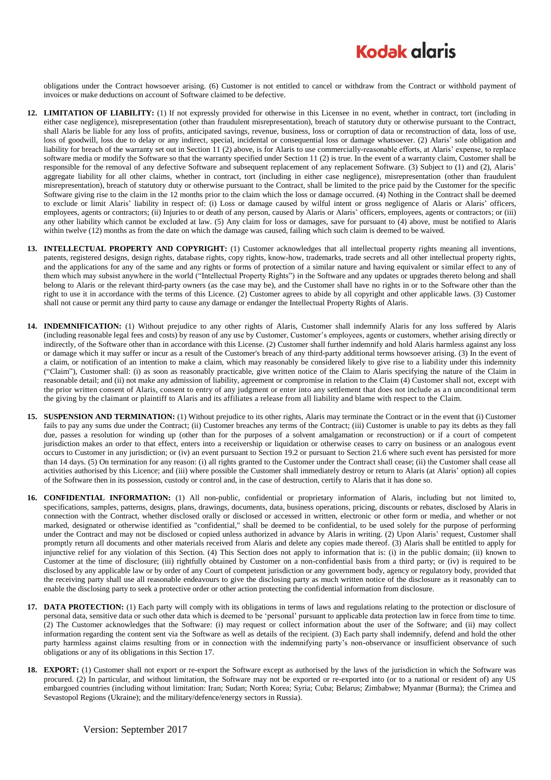## **Kodak glgris**

obligations under the Contract howsoever arising. (6) Customer is not entitled to cancel or withdraw from the Contract or withhold payment of invoices or make deductions on account of Software claimed to be defective.

- **12. LIMITATION OF LIABILITY:** (1) If not expressly provided for otherwise in this Licensee in no event, whether in contract, tort (including in either case negligence), misrepresentation (other than fraudulent misrepresentation), breach of statutory duty or otherwise pursuant to the Contract, shall Alaris be liable for any loss of profits, anticipated savings, revenue, business, loss or corruption of data or reconstruction of data, loss of use, loss of goodwill, loss due to delay or any indirect, special, incidental or consequential loss or damage whatsoever. (2) Alaris' sole obligation and liability for breach of the warranty set out in Section 11 (2) above, is for Alaris to use commercially-reasonable efforts, at Alaris' expense, to replace software media or modify the Software so that the warranty specified under Section 11 (2) is true. In the event of a warranty claim, Customer shall be responsible for the removal of any defective Software and subsequent replacement of any replacement Software. (3) Subject to (1) and (2), Alaris' aggregate liability for all other claims, whether in contract, tort (including in either case negligence), misrepresentation (other than fraudulent misrepresentation), breach of statutory duty or otherwise pursuant to the Contract, shall be limited to the price paid by the Customer for the specific Software giving rise to the claim in the 12 months prior to the claim which the loss or damage occurred. (4) Nothing in the Contract shall be deemed to exclude or limit Alaris' liability in respect of: (i) Loss or damage caused by wilful intent or gross negligence of Alaris or Alaris' officers, employees, agents or contractors; (ii) Injuries to or death of any person, caused by Alaris or Alaris' officers, employees, agents or contractors; or (iii) any other liability which cannot be excluded at law. (5) Any claim for loss or damages, save for pursuant to (4) above, must be notified to Alaris within twelve (12) months as from the date on which the damage was caused, failing which such claim is deemed to be waived.
- **13. INTELLECTUAL PROPERTY AND COPYRIGHT:** (1) Customer acknowledges that all intellectual property rights meaning all inventions, patents, registered designs, design rights, database rights, copy rights, know-how, trademarks, trade secrets and all other intellectual property rights, and the applications for any of the same and any rights or forms of protection of a similar nature and having equivalent or similar effect to any of them which may subsist anywhere in the world ("Intellectual Property Rights") in the Software and any updates or upgrades thereto belong and shall belong to Alaris or the relevant third-party owners (as the case may be), and the Customer shall have no rights in or to the Software other than the right to use it in accordance with the terms of this Licence. (2) Customer agrees to abide by all copyright and other applicable laws. (3) Customer shall not cause or permit any third party to cause any damage or endanger the Intellectual Property Rights of Alaris.
- **14. INDEMNIFICATION:** (1) Without prejudice to any other rights of Alaris, Customer shall indemnify Alaris for any loss suffered by Alaris (including reasonable legal fees and costs) by reason of any use by Customer, Customer's employees, agents or customers, whether arising directly or indirectly, of the Software other than in accordance with this License. (2) Customer shall further indemnify and hold Alaris harmless against any loss or damage which it may suffer or incur as a result of the Customer's breach of any third-party additional terms howsoever arising. (3) In the event of a claim, or notification of an intention to make a claim, which may reasonably be considered likely to give rise to a liability under this indemnity ("Claim"), Customer shall: (i) as soon as reasonably practicable, give written notice of the Claim to Alaris specifying the nature of the Claim in reasonable detail; and (ii) not make any admission of liability, agreement or compromise in relation to the Claim (4) Customer shall not, except with the prior written consent of Alaris, consent to entry of any judgment or enter into any settlement that does not include as a n unconditional term the giving by the claimant or plaintiff to Alaris and its affiliates a release from all liability and blame with respect to the Claim.
- **15. SUSPENSION AND TERMINATION:** (1) Without prejudice to its other rights, Alaris may terminate the Contract or in the event that (i) Customer fails to pay any sums due under the Contract; (ii) Customer breaches any terms of the Contract; (iii) Customer is unable to pay its debts as they fall due, passes a resolution for winding up (other than for the purposes of a solvent amalgamation or reconstruction) or if a court of competent jurisdiction makes an order to that effect, enters into a receivership or liquidation or otherwise ceases to carry on business or an analogous event occurs to Customer in any jurisdiction; or (iv) an event pursuant to Section 19.2 or pursuant to Section 21.6 where such event has persisted for more than 14 days. (5) On termination for any reason: (i) all rights granted to the Customer under the Contract shall cease; (ii) the Customer shall cease all activities authorised by this Licence; and (iii) where possible the Customer shall immediately destroy or return to Alaris (at Alaris' option) all copies of the Software then in its possession, custody or control and, in the case of destruction, certify to Alaris that it has done so.
- **16. CONFIDENTIAL INFORMATION:** (1) All non-public, confidential or proprietary information of Alaris, including but not limited to, specifications, samples, patterns, designs, plans, drawings, documents, data, business operations, pricing, discounts or rebates, disclosed by Alaris in connection with the Contract, whether disclosed orally or disclosed or accessed in written, electronic or other form or media, and whether or not marked, designated or otherwise identified as "confidential," shall be deemed to be confidential, to be used solely for the purpose of performing under the Contract and may not be disclosed or copied unless authorized in advance by Alaris in writing. (2) Upon Alaris' request, Customer shall promptly return all documents and other materials received from Alaris and delete any copies made thereof. (3) Alaris shall be entitled to apply for injunctive relief for any violation of this Section. (4) This Section does not apply to information that is: (i) in the public domain; (ii) known to Customer at the time of disclosure; (iii) rightfully obtained by Customer on a non-confidential basis from a third party; or (iv) is required to be disclosed by any applicable law or by order of any Court of competent jurisdiction or any government body, agency or regulatory body, provided that the receiving party shall use all reasonable endeavours to give the disclosing party as much written notice of the disclosure as it reasonably can to enable the disclosing party to seek a protective order or other action protecting the confidential information from disclosure.
- **17. DATA PROTECTION:** (1) Each party will comply with its obligations in terms of laws and regulations relating to the protection or disclosure of personal data, sensitive data or such other data which is deemed to be 'personal' pursuant to applicable data protection law in force from time to time. (2) The Customer acknowledges that the Software: (i) may request or collect information about the user of the Software; and (ii) may collect information regarding the content sent via the Software as well as details of the recipient. (3) Each party shall indemnify, defend and hold the other party harmless against claims resulting from or in connection with the indemnifying party's non-observance or insufficient observance of such obligations or any of its obligations in this Section 17.
- **18. EXPORT:** (1) Customer shall not export or re-export the Software except as authorised by the laws of the jurisdiction in which the Software was procured. (2) In particular, and without limitation, the Software may not be exported or re-exported into (or to a national or resident of) any US embargoed countries (including without limitation: Iran; Sudan; North Korea; Syria; Cuba; Belarus; Zimbabwe; Myanmar (Burma); the Crimea and Sevastopol Regions (Ukraine); and the military/defence/energy sectors in Russia).